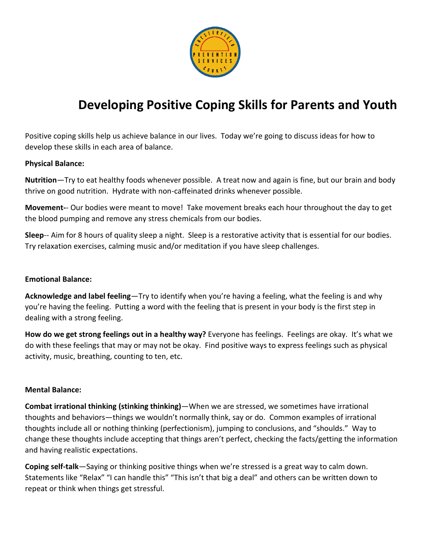

# **Developing Positive Coping Skills for Parents and Youth**

Positive coping skills help us achieve balance in our lives. Today we're going to discuss ideas for how to develop these skills in each area of balance.

#### **Physical Balance:**

**Nutrition**—Try to eat healthy foods whenever possible. A treat now and again is fine, but our brain and body thrive on good nutrition. Hydrate with non-caffeinated drinks whenever possible.

**Movement-**- Our bodies were meant to move! Take movement breaks each hour throughout the day to get the blood pumping and remove any stress chemicals from our bodies.

**Sleep**-- Aim for 8 hours of quality sleep a night. Sleep is a restorative activity that is essential for our bodies. Try relaxation exercises, calming music and/or meditation if you have sleep challenges.

## **Emotional Balance:**

**Acknowledge and label feeling**—Try to identify when you're having a feeling, what the feeling is and why you're having the feeling. Putting a word with the feeling that is present in your body is the first step in dealing with a strong feeling.

**How do we get strong feelings out in a healthy way?** Everyone has feelings. Feelings are okay. It's what we do with these feelings that may or may not be okay. Find positive ways to express feelings such as physical activity, music, breathing, counting to ten, etc.

#### **Mental Balance:**

**Combat irrational thinking (stinking thinking)**—When we are stressed, we sometimes have irrational thoughts and behaviors—things we wouldn't normally think, say or do. Common examples of irrational thoughts include all or nothing thinking (perfectionism), jumping to conclusions, and "shoulds." Way to change these thoughts include accepting that things aren't perfect, checking the facts/getting the information and having realistic expectations.

**Coping self-talk**—Saying or thinking positive things when we're stressed is a great way to calm down. Statements like "Relax" "I can handle this" "This isn't that big a deal" and others can be written down to repeat or think when things get stressful.